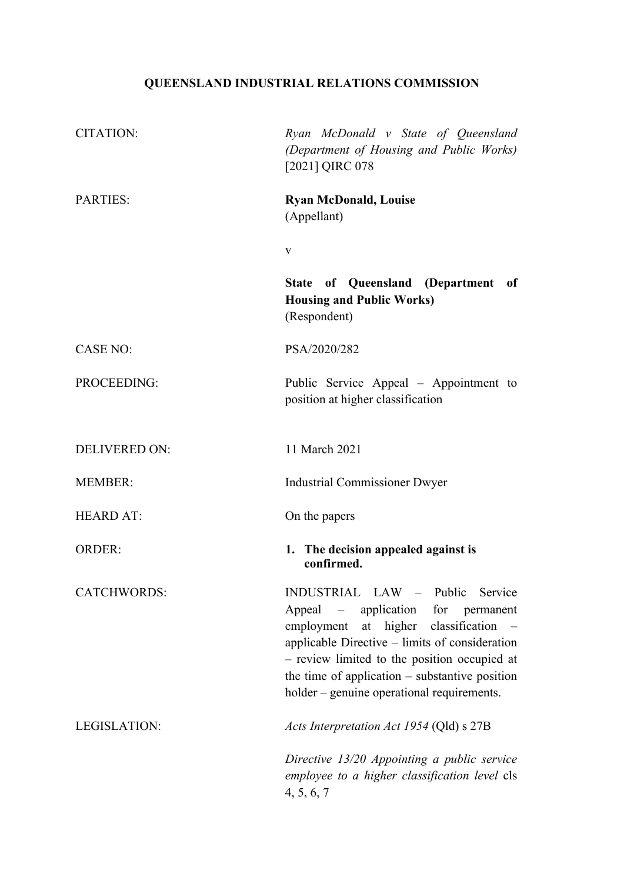# QUEENSLAND INDUSTRIAL RELATIONS COMMISSION

| <b>CITATION:</b>     | Ryan McDonald v State of Queensland<br>(Department of Housing and Public Works)<br>[2021] QIRC 078                                                                                                                                                                                                               |
|----------------------|------------------------------------------------------------------------------------------------------------------------------------------------------------------------------------------------------------------------------------------------------------------------------------------------------------------|
| <b>PARTIES:</b>      | <b>Ryan McDonald, Louise</b><br>(Appellant)                                                                                                                                                                                                                                                                      |
|                      | V                                                                                                                                                                                                                                                                                                                |
|                      | <b>State of Queensland (Department</b><br>of<br><b>Housing and Public Works)</b><br>(Respondent)                                                                                                                                                                                                                 |
| <b>CASE NO:</b>      | PSA/2020/282                                                                                                                                                                                                                                                                                                     |
| PROCEEDING:          | Public Service Appeal – Appointment to<br>position at higher classification                                                                                                                                                                                                                                      |
| <b>DELIVERED ON:</b> | 11 March 2021                                                                                                                                                                                                                                                                                                    |
| <b>MEMBER:</b>       | <b>Industrial Commissioner Dwyer</b>                                                                                                                                                                                                                                                                             |
| <b>HEARD AT:</b>     | On the papers                                                                                                                                                                                                                                                                                                    |
| <b>ORDER:</b>        | 1. The decision appealed against is<br>confirmed.                                                                                                                                                                                                                                                                |
| CATCHWORDS:          | INDUSTRIAL LAW – Public Service<br>Appeal – application for permanent<br>employment at higher classification<br>applicable Directive - limits of consideration<br>- review limited to the position occupied at<br>the time of application $-$ substantive position<br>holder – genuine operational requirements. |
| LEGISLATION:         | Acts Interpretation Act 1954 (Qld) s 27B                                                                                                                                                                                                                                                                         |
|                      | Directive 13/20 Appointing a public service<br>employee to a higher classification level cls<br>4, 5, 6, 7                                                                                                                                                                                                       |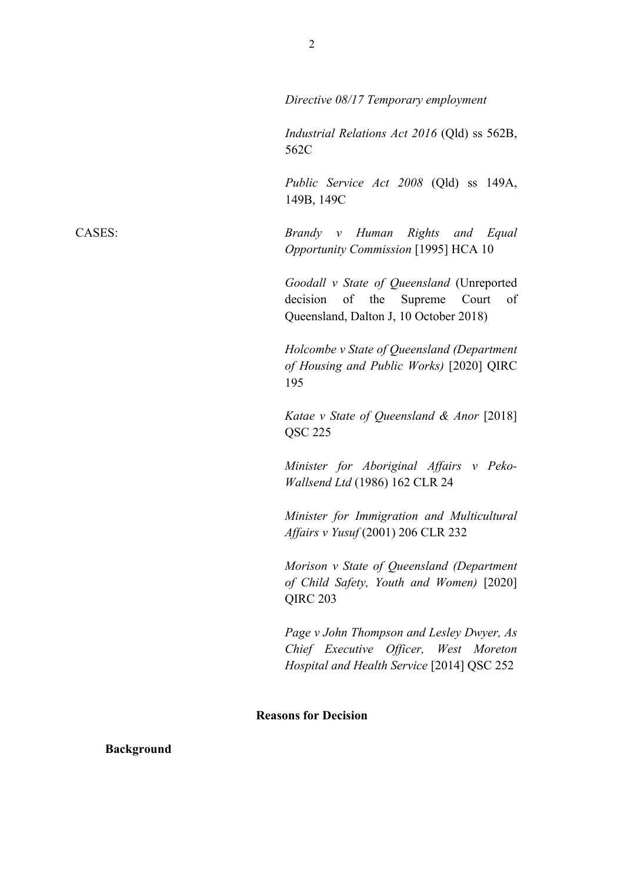|                             | 149B, 149C                                                                                                                       |
|-----------------------------|----------------------------------------------------------------------------------------------------------------------------------|
|                             | Brandy v Human Rights and Equal<br>Opportunity Commission [1995] HCA 10                                                          |
|                             | Goodall v State of Queensland (Unreported<br>of the Supreme Court<br>of<br>decision<br>Queensland, Dalton J, 10 October 2018)    |
|                             | Holcombe v State of Queensland (Department<br>of Housing and Public Works) [2020] QIRC<br>195                                    |
|                             | Katae v State of Queensland & Anor [2018]<br>QSC 225                                                                             |
|                             | Minister for Aboriginal Affairs v Peko-<br>Wallsend Ltd (1986) 162 CLR 24                                                        |
|                             | Minister for Immigration and Multicultural<br>Affairs v Yusuf (2001) 206 CLR 232                                                 |
|                             | Morison v State of Queensland (Department<br>of Child Safety, Youth and Women) [2020]<br>QIRC <sub>203</sub>                     |
|                             | Page v John Thompson and Lesley Dwyer, As<br>Chief Executive Officer, West Moreton<br>Hospital and Health Service [2014] QSC 252 |
| <b>Reasons for Decision</b> |                                                                                                                                  |
|                             |                                                                                                                                  |
|                             |                                                                                                                                  |
|                             |                                                                                                                                  |
|                             |                                                                                                                                  |

CASES:

**Background** 

562C

Directive 08/17 Temporary employment

Industrial Relations Act 2016 (Qld) ss 562B,

Public Service Act 2008 (Qld) ss 149A,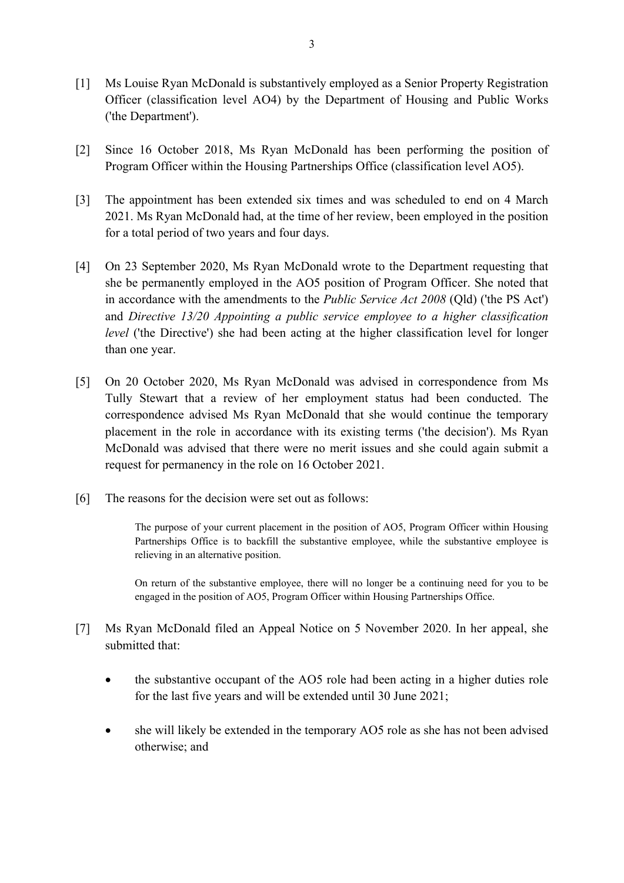- Ms Louise Ryan McDonald is substantively employed as a Senior Property Registration  $\lceil 1 \rceil$ Officer (classification level AO4) by the Department of Housing and Public Works ('the Department').
- $\lceil 2 \rceil$ Since 16 October 2018, Ms Ryan McDonald has been performing the position of Program Officer within the Housing Partnerships Office (classification level AO5).
- The appointment has been extended six times and was scheduled to end on 4 March  $\lceil 3 \rceil$ 2021. Ms Ryan McDonald had, at the time of her review, been employed in the position for a total period of two years and four days.
- [4] On 23 September 2020, Ms Ryan McDonald wrote to the Department requesting that she be permanently employed in the AO5 position of Program Officer. She noted that in accordance with the amendments to the *Public Service Act 2008* (Qld) ('the PS Act') and Directive 13/20 Appointing a public service employee to a higher classification *level* ('the Directive') she had been acting at the higher classification level for longer than one year.
- [5] On 20 October 2020, Ms Ryan McDonald was advised in correspondence from Ms Tully Stewart that a review of her employment status had been conducted. The correspondence advised Ms Ryan McDonald that she would continue the temporary placement in the role in accordance with its existing terms ('the decision'). Ms Ryan McDonald was advised that there were no merit issues and she could again submit a request for permanency in the role on 16 October 2021.
- $[6]$ The reasons for the decision were set out as follows:

The purpose of your current placement in the position of AO5, Program Officer within Housing Partnerships Office is to backfill the substantive employee, while the substantive employee is relieving in an alternative position.

On return of the substantive employee, there will no longer be a continuing need for you to be engaged in the position of AO5, Program Officer within Housing Partnerships Office.

- $\lceil 7 \rceil$ Ms Ryan McDonald filed an Appeal Notice on 5 November 2020. In her appeal, she submitted that:
	- the substantive occupant of the AO5 role had been acting in a higher duties role for the last five years and will be extended until 30 June 2021;
	- she will likely be extended in the temporary AO5 role as she has not been advised  $\bullet$ otherwise; and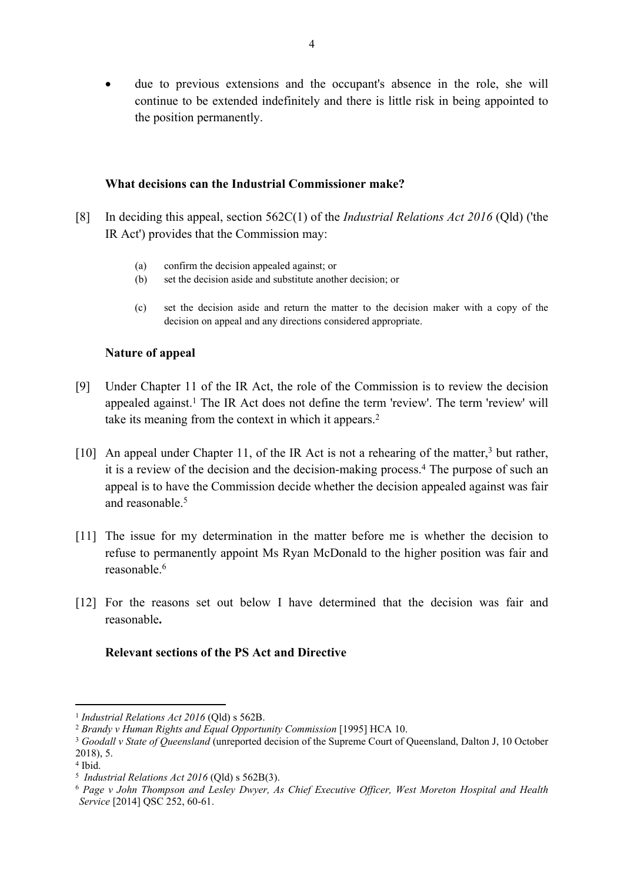due to previous extensions and the occupant's absence in the role, she will continue to be extended indefinitely and there is little risk in being appointed to the position permanently.

## What decisions can the Industrial Commissioner make?

- In deciding this appeal, section  $562C(1)$  of the *Industrial Relations Act 2016* (Old) ('the  $\lceil 8 \rceil$ IR Act') provides that the Commission may:
	- $(a)$ confirm the decision appealed against; or
	- $(b)$ set the decision aside and substitute another decision; or
	- set the decision aside and return the matter to the decision maker with a copy of the  $(c)$ decision on appeal and any directions considered appropriate.

## **Nature of appeal**

- Under Chapter 11 of the IR Act, the role of the Commission is to review the decision  $[9]$ appealed against.<sup>1</sup> The IR Act does not define the term 'review'. The term 'review' will take its meaning from the context in which it appears.<sup>2</sup>
- [10] An appeal under Chapter 11, of the IR Act is not a rehearing of the matter,<sup>3</sup> but rather, it is a review of the decision and the decision-making process.<sup>4</sup> The purpose of such an appeal is to have the Commission decide whether the decision appealed against was fair and reasonable.<sup>5</sup>
- [11] The issue for my determination in the matter before me is whether the decision to refuse to permanently appoint Ms Ryan McDonald to the higher position was fair and reasonable.<sup>6</sup>
- [12] For the reasons set out below I have determined that the decision was fair and reasonable.

## **Relevant sections of the PS Act and Directive**

<sup>&</sup>lt;sup>1</sup> Industrial Relations Act 2016 (Qld) s 562B.

<sup>&</sup>lt;sup>2</sup> Brandy v Human Rights and Equal Opportunity Commission [1995] HCA 10.

<sup>&</sup>lt;sup>3</sup> Goodall v State of Queensland (unreported decision of the Supreme Court of Queensland, Dalton J, 10 October  $2018$ , 5.

<sup>&</sup>lt;sup>4</sup> Ibid.

<sup>&</sup>lt;sup>5</sup> Industrial Relations Act 2016 (Old) s  $562B(3)$ .

<sup>&</sup>lt;sup>6</sup> Page v John Thompson and Lesley Dwyer, As Chief Executive Officer, West Moreton Hospital and Health Service [2014] QSC 252, 60-61.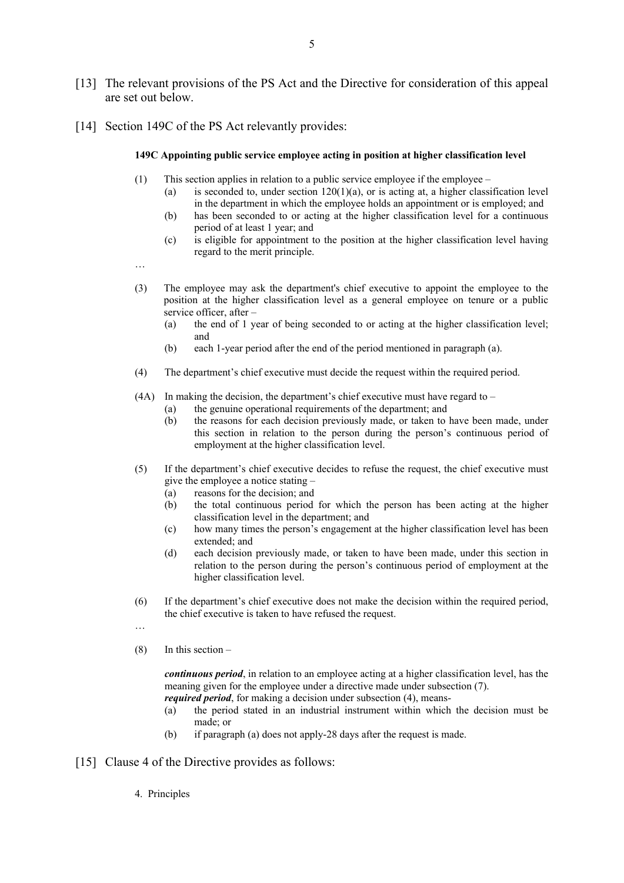- [13] The relevant provisions of the PS Act and the Directive for consideration of this appeal are set out below.
- [14] Section 149C of the PS Act relevantly provides:

#### 149C Appointing public service employee acting in position at higher classification level

- This section applies in relation to a public service employee if the employee  $(1)$ 
	- is seconded to, under section  $120(1)(a)$ , or is acting at, a higher classification level  $(a)$ in the department in which the employee holds an appointment or is employed; and
	- $(b)$ has been seconded to or acting at the higher classification level for a continuous period of at least 1 year; and
	- is eligible for appointment to the position at the higher classification level having  $(c)$ regard to the merit principle.

 $\ddotsc$ 

- $(3)$ The employee may ask the department's chief executive to appoint the employee to the position at the higher classification level as a general employee on tenure or a public service officer, after
	- the end of 1 year of being seconded to or acting at the higher classification level;  $(a)$ and
	- $(b)$ each 1-year period after the end of the period mentioned in paragraph (a).
- $(4)$ The department's chief executive must decide the request within the required period.

#### $(4A)$  In making the decision, the department's chief executive must have regard to –

- the genuine operational requirements of the department; and  $(a)$
- $(b)$ the reasons for each decision previously made, or taken to have been made, under this section in relation to the person during the person's continuous period of employment at the higher classification level.
- If the department's chief executive decides to refuse the request, the chief executive must  $(5)$ give the employee a notice stating
	- reasons for the decision: and  $(a)$
	- the total continuous period for which the person has been acting at the higher  $(b)$ classification level in the department; and
	- how many times the person's engagement at the higher classification level has been  $(c)$ extended; and
	- $(d)$ each decision previously made, or taken to have been made, under this section in relation to the person during the person's continuous period of employment at the higher classification level.
- If the department's chief executive does not make the decision within the required period,  $(6)$ the chief executive is taken to have refused the request.
- $\cdots$
- $(8)$ In this section  $-$

*continuous period*, in relation to an employee acting at a higher classification level, has the meaning given for the employee under a directive made under subsection (7).

- *required period*, for making a decision under subsection (4), means-
- the period stated in an industrial instrument within which the decision must be  $(a)$ made: or
- if paragraph (a) does not apply-28 days after the request is made.  $(b)$
- [15] Clause 4 of the Directive provides as follows:
	- 4. Principles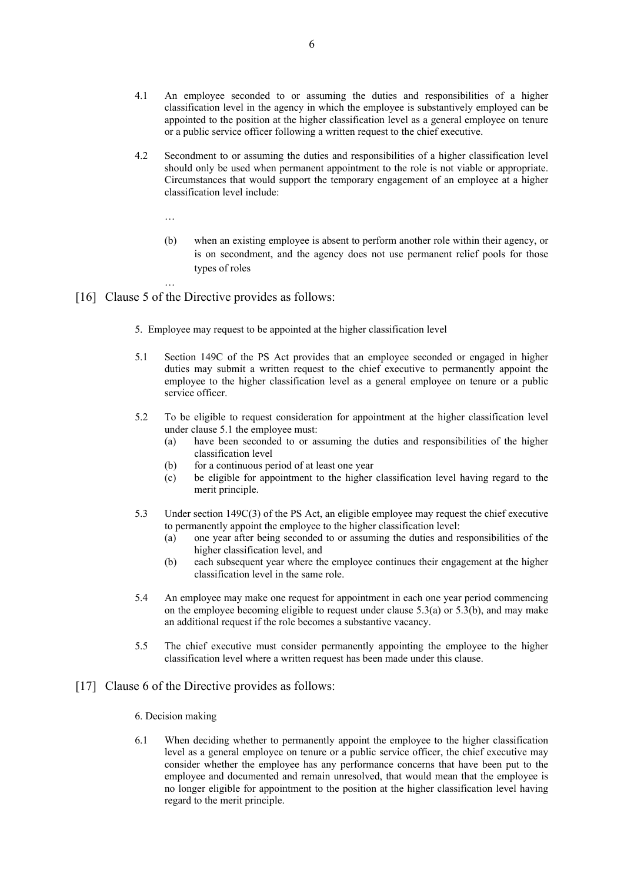- $4.1$ An employee seconded to or assuming the duties and responsibilities of a higher classification level in the agency in which the employee is substantively employed can be appointed to the position at the higher classification level as a general employee on tenure or a public service officer following a written request to the chief executive.
- $4.2$ Secondment to or assuming the duties and responsibilities of a higher classification level should only be used when permanent appointment to the role is not viable or appropriate. Circumstances that would support the temporary engagement of an employee at a higher classification level include:
	- $\dddotsc$
	- $(b)$ when an existing employee is absent to perform another role within their agency, or is on secondment, and the agency does not use permanent relief pools for those types of roles
- [16] Clause 5 of the Directive provides as follows:
	- 5. Employee may request to be appointed at the higher classification level
	- $5.1$ Section 149C of the PS Act provides that an employee seconded or engaged in higher duties may submit a written request to the chief executive to permanently appoint the employee to the higher classification level as a general employee on tenure or a public service officer.
	- $5.2$ To be eligible to request consideration for appointment at the higher classification level under clause 5.1 the employee must:
		- have been seconded to or assuming the duties and responsibilities of the higher  $(a)$ classification level
		- for a continuous period of at least one year  $(b)$
		- be eligible for appointment to the higher classification level having regard to the  $(c)$ merit principle.
	- $53$ Under section  $149C(3)$  of the PS Act, an eligible employee may request the chief executive to permanently appoint the employee to the higher classification level:
		- $(a)$ one year after being seconded to or assuming the duties and responsibilities of the higher classification level, and
		- $(b)$ each subsequent year where the employee continues their engagement at the higher classification level in the same role.
	- An employee may make one request for appointment in each one year period commencing 5.4 on the employee becoming eligible to request under clause  $5.3(a)$  or  $5.3(b)$ , and may make an additional request if the role becomes a substantive vacancy.
	- $5.5$ The chief executive must consider permanently appointing the employee to the higher classification level where a written request has been made under this clause.

#### [17] Clause 6 of the Directive provides as follows:

- 6. Decision making
- When deciding whether to permanently appoint the employee to the higher classification 6.1 level as a general employee on tenure or a public service officer, the chief executive may consider whether the employee has any performance concerns that have been put to the employee and documented and remain unresolved, that would mean that the employee is no longer eligible for appointment to the position at the higher classification level having regard to the merit principle.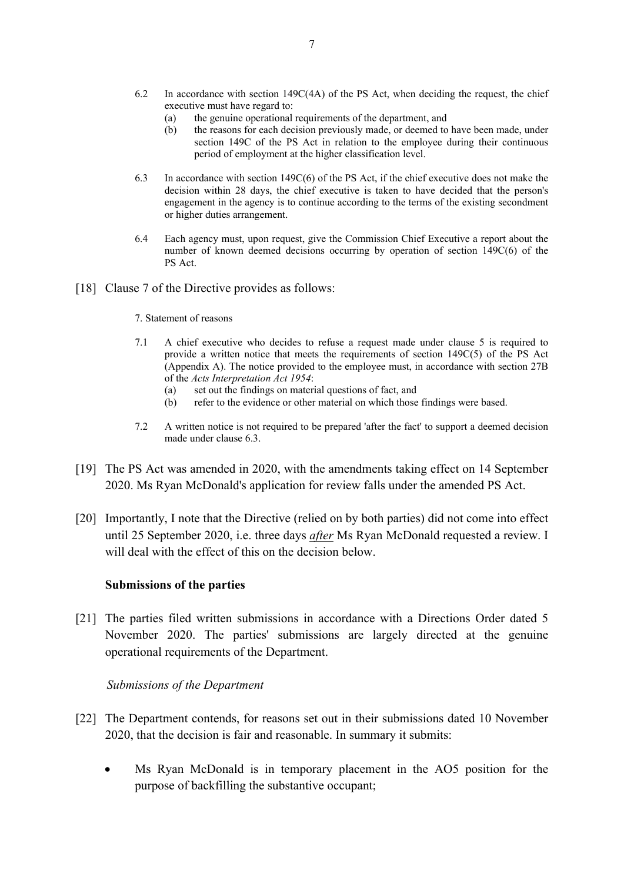- 6.2 In accordance with section  $149C(4A)$  of the PS Act, when deciding the request, the chief executive must have regard to:
	- $(a)$ the genuine operational requirements of the department, and
	- the reasons for each decision previously made, or deemed to have been made, under  $(b)$ section 149C of the PS Act in relation to the employee during their continuous period of employment at the higher classification level.
- 6.3 In accordance with section  $149C(6)$  of the PS Act, if the chief executive does not make the decision within 28 days, the chief executive is taken to have decided that the person's engagement in the agency is to continue according to the terms of the existing secondment or higher duties arrangement.
- Each agency must, upon request, give the Commission Chief Executive a report about the 6.4 number of known deemed decisions occurring by operation of section 149C(6) of the PS Act.
- [18] Clause 7 of the Directive provides as follows:
	- 7. Statement of reasons
	- $71$ A chief executive who decides to refuse a request made under clause 5 is required to provide a written notice that meets the requirements of section  $149C(5)$  of the PS Act (Appendix A). The notice provided to the employee must, in accordance with section 27B of the Acts Interpretation Act 1954:
		- set out the findings on material questions of fact, and  $(a)$
		- refer to the evidence or other material on which those findings were based.  $(b)$
	- $7.2$ A written notice is not required to be prepared 'after the fact' to support a deemed decision made under clause 6.3.
- [19] The PS Act was amended in 2020, with the amendments taking effect on 14 September 2020. Ms Ryan McDonald's application for review falls under the amended PS Act.
- [20] Importantly, I note that the Directive (relied on by both parties) did not come into effect until 25 September 2020, i.e. three days *after* Ms Ryan McDonald requested a review. I will deal with the effect of this on the decision below.

#### **Submissions of the parties**

[21] The parties filed written submissions in accordance with a Directions Order dated 5 November 2020. The parties' submissions are largely directed at the genuine operational requirements of the Department.

#### Submissions of the Department

- [22] The Department contends, for reasons set out in their submissions dated 10 November 2020, that the decision is fair and reasonable. In summary it submits:
	- Ms Ryan McDonald is in temporary placement in the AO5 position for the purpose of backfilling the substantive occupant;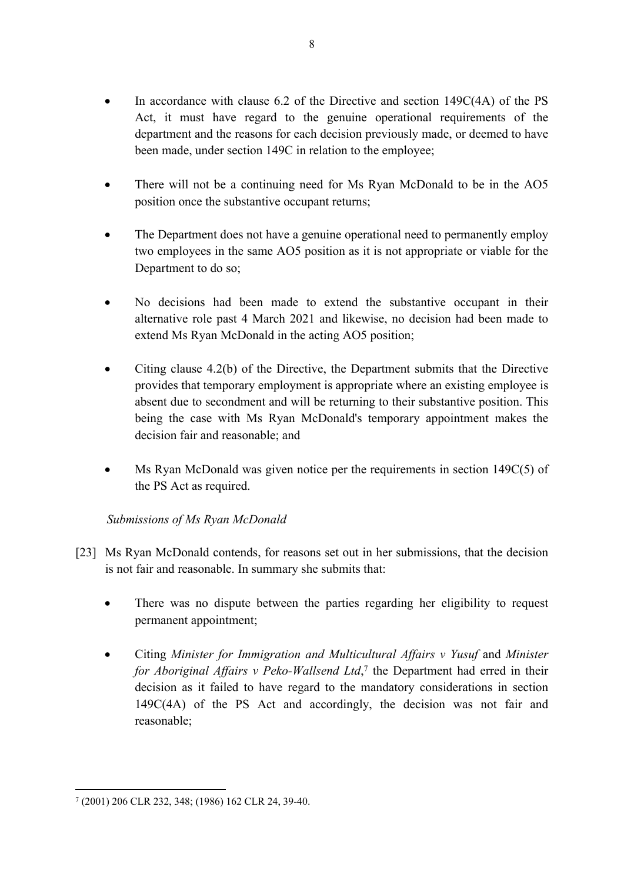- In accordance with clause 6.2 of the Directive and section  $149C(4A)$  of the PS Act, it must have regard to the genuine operational requirements of the department and the reasons for each decision previously made, or deemed to have been made, under section 149C in relation to the employee;
- There will not be a continuing need for Ms Ryan McDonald to be in the AO5 position once the substantive occupant returns;
- The Department does not have a genuine operational need to permanently employ two employees in the same AO5 position as it is not appropriate or viable for the Department to do so;
- No decisions had been made to extend the substantive occupant in their alternative role past 4 March 2021 and likewise, no decision had been made to extend Ms Ryan McDonald in the acting AO5 position;
- Citing clause 4.2(b) of the Directive, the Department submits that the Directive provides that temporary employment is appropriate where an existing employee is absent due to secondment and will be returning to their substantive position. This being the case with Ms Ryan McDonald's temporary appointment makes the decision fair and reasonable; and
- Ms Ryan McDonald was given notice per the requirements in section  $149C(5)$  of the PS Act as required.

# Submissions of Ms Ryan McDonald

- [23] Ms Ryan McDonald contends, for reasons set out in her submissions, that the decision is not fair and reasonable. In summary she submits that:
	- There was no dispute between the parties regarding her eligibility to request permanent appointment;
	- Citing Minister for Immigration and Multicultural Affairs v Yusuf and Minister for Aboriginal Affairs v Peko-Wallsend Ltd,<sup>7</sup> the Department had erred in their decision as it failed to have regard to the mandatory considerations in section 149C(4A) of the PS Act and accordingly, the decision was not fair and reasonable:

<sup>7 (2001) 206</sup> CLR 232, 348; (1986) 162 CLR 24, 39-40.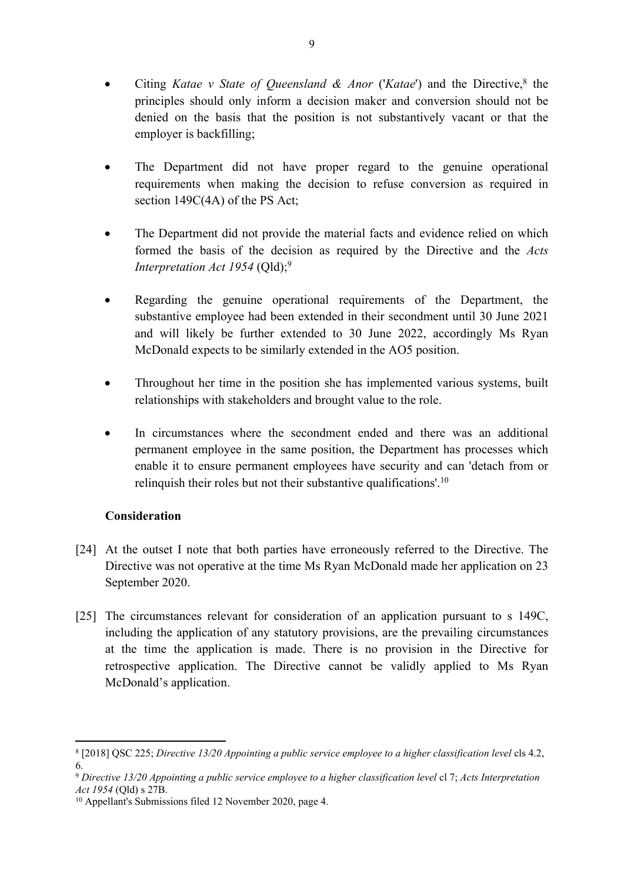- Citing Katae v State of Queensland & Anor ('Katae') and the Directive,<sup>8</sup> the principles should only inform a decision maker and conversion should not be denied on the basis that the position is not substantively vacant or that the employer is backfilling;
- The Department did not have proper regard to the genuine operational requirements when making the decision to refuse conversion as required in section 149C(4A) of the PS Act;
- The Department did not provide the material facts and evidence relied on which formed the basis of the decision as required by the Directive and the Acts Interpretation Act 1954 (Qld);<sup>9</sup>
- Regarding the genuine operational requirements of the Department, the substantive employee had been extended in their secondment until 30 June 2021 and will likely be further extended to 30 June 2022, accordingly Ms Ryan McDonald expects to be similarly extended in the AO5 position.
- Throughout her time in the position she has implemented various systems, built  $\bullet$ relationships with stakeholders and brought value to the role.
- In circumstances where the secondment ended and there was an additional permanent employee in the same position, the Department has processes which enable it to ensure permanent employees have security and can 'detach from or relinquish their roles but not their substantive qualifications'.<sup>10</sup>

# **Consideration**

- [24] At the outset I note that both parties have erroneously referred to the Directive. The Directive was not operative at the time Ms Ryan McDonald made her application on 23 September 2020.
- [25] The circumstances relevant for consideration of an application pursuant to s 149C, including the application of any statutory provisions, are the prevailing circumstances at the time the application is made. There is no provision in the Directive for retrospective application. The Directive cannot be validly applied to Ms Ryan McDonald's application.

<sup>&</sup>lt;sup>8</sup> [2018] QSC 225; Directive 13/20 Appointing a public service employee to a higher classification level cls 4.2, 6

<sup>&</sup>lt;sup>9</sup> Directive 13/20 Appointing a public service employee to a higher classification level cl 7: Acts Interpretation Act 1954 (Qld) s  $27B$ .

<sup>&</sup>lt;sup>10</sup> Appellant's Submissions filed 12 November 2020, page 4.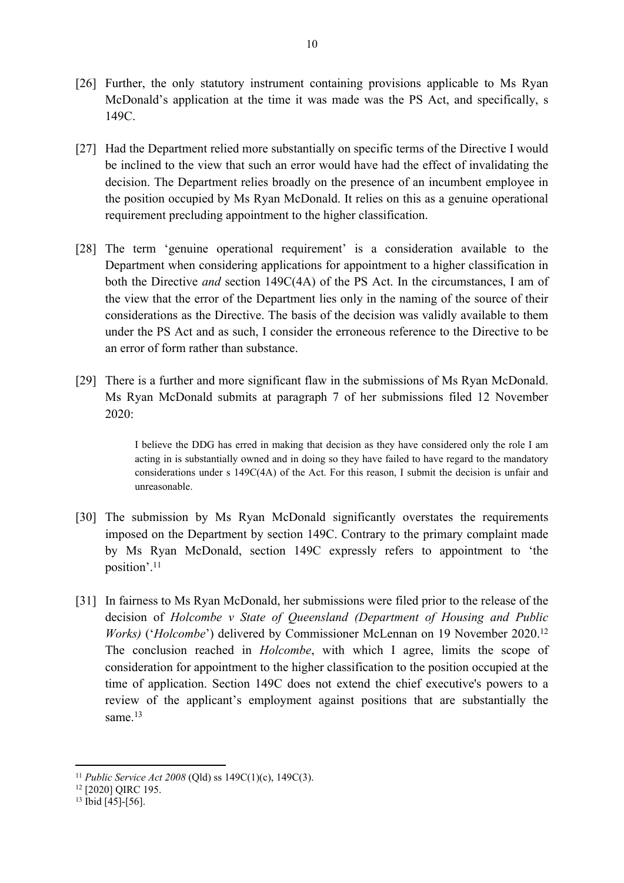- [26] Further, the only statutory instrument containing provisions applicable to Ms Ryan McDonald's application at the time it was made was the PS Act, and specifically, s 149C.
- [27] Had the Department relied more substantially on specific terms of the Directive I would be inclined to the view that such an error would have had the effect of invalidating the decision. The Department relies broadly on the presence of an incumbent employee in the position occupied by Ms Ryan McDonald. It relies on this as a genuine operational requirement precluding appointment to the higher classification.
- [28] The term 'genuine operational requirement' is a consideration available to the Department when considering applications for appointment to a higher classification in both the Directive and section 149C(4A) of the PS Act. In the circumstances, I am of the view that the error of the Department lies only in the naming of the source of their considerations as the Directive. The basis of the decision was validly available to them under the PS Act and as such, I consider the erroneous reference to the Directive to be an error of form rather than substance.
- [29] There is a further and more significant flaw in the submissions of Ms Ryan McDonald. Ms Ryan McDonald submits at paragraph 7 of her submissions filed 12 November 2020:

I believe the DDG has erred in making that decision as they have considered only the role I am acting in is substantially owned and in doing so they have failed to have regard to the mandatory considerations under s 149C(4A) of the Act. For this reason, I submit the decision is unfair and unreasonable.

- [30] The submission by Ms Ryan McDonald significantly overstates the requirements imposed on the Department by section 149C. Contrary to the primary complaint made by Ms Ryan McDonald, section 149C expressly refers to appointment to 'the position'.<sup>11</sup>
- [31] In fairness to Ms Ryan McDonald, her submissions were filed prior to the release of the decision of Holcombe v State of Queensland (Department of Housing and Public *Works*) ('Holcombe') delivered by Commissioner McLennan on 19 November 2020.<sup>12</sup> The conclusion reached in *Holcombe*, with which I agree, limits the scope of consideration for appointment to the higher classification to the position occupied at the time of application. Section 149C does not extend the chief executive's powers to a review of the applicant's employment against positions that are substantially the same. $13$

<sup>&</sup>lt;sup>11</sup> Public Service Act 2008 (Old) ss 149C(1)(c), 149C(3).

<sup>&</sup>lt;sup>12</sup> [2020] QIRC 195.

<sup>&</sup>lt;sup>13</sup> Ibid [45]-[56].